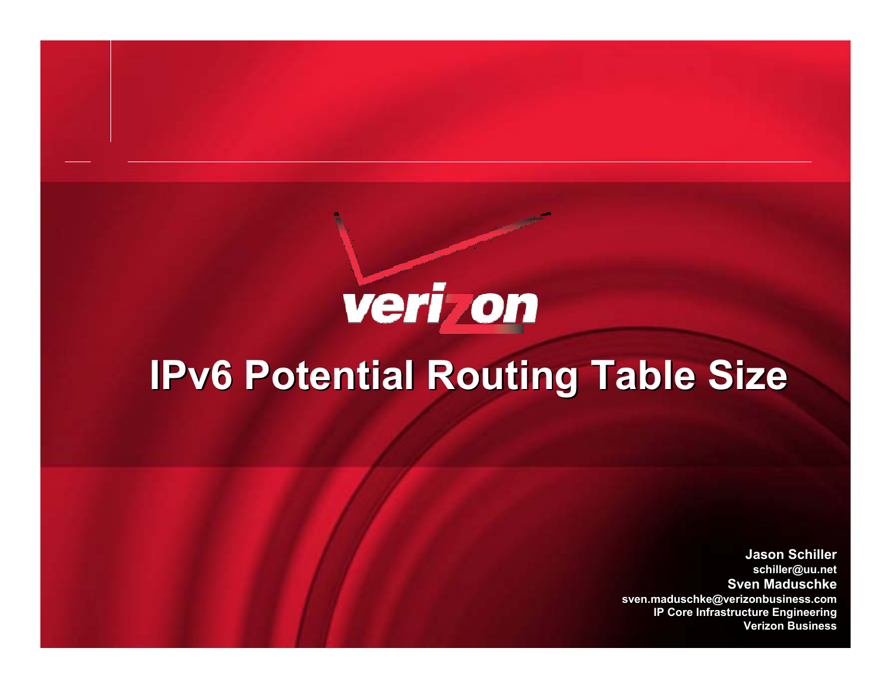# veri on

# **IPv6 Potential Routing Table Size**

**Jason SchillerJason Schiller schiller@uu.net schiller@uu.net Sven MaduschkeSven Maduschkesven.maduschke@verizonbusiness.com sven.maduschke@verizonbusiness.com IP Core Infrastructure Engineering IP Core Infrastructure Engineering Verizon BusinessVerizon Business**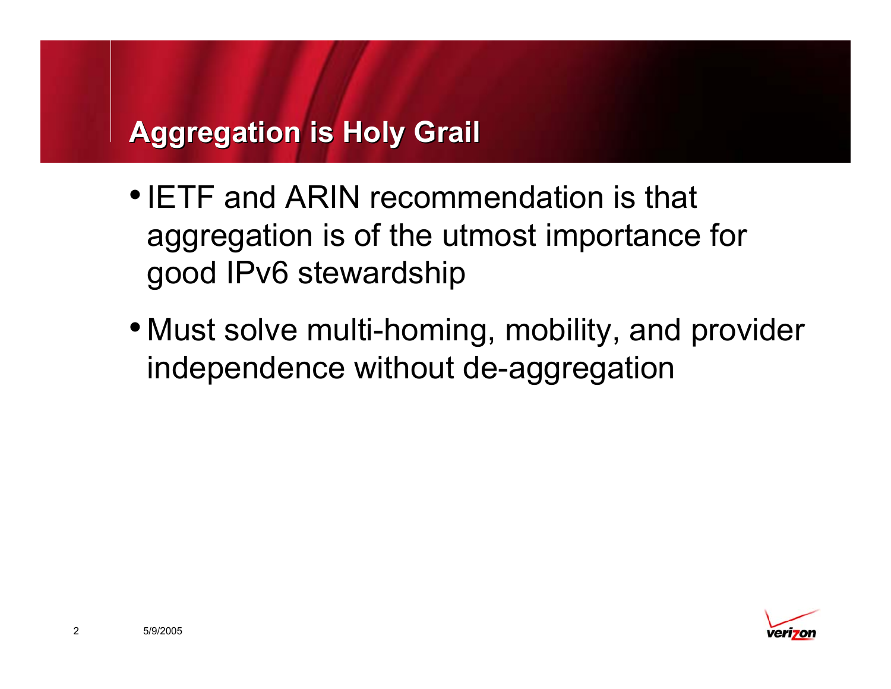# **Aggregation is Holy Grail Aggregation is Holy Grail**

- •IETF and ARIN recommendation is that aggregation is of the utmost importance for good IPv6 stewardship
- Must solve multi-homing, mobility, and provider independence without de-aggregation



2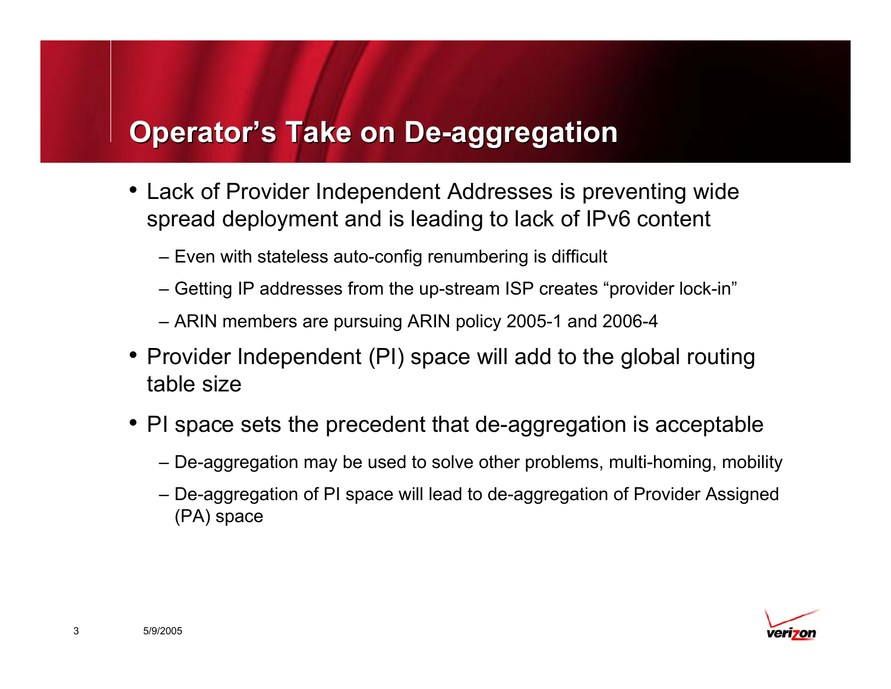# **Operator's Take on De-aggregation Operator's Take on De-aggregation**

- Lack of Provider Independent Addresses is preventing wide spread deployment and is leading to lack of IPv6 content
	- Even with stateless auto-config renumbering is difficult
	- Getting IP addresses from the up-stream ISP creates "provider lock-in"
	- ARIN members are pursuing ARIN policy 2005-1 and 2006-4
- Provider Independent (PI) space will add to the global routing table size
- PI space sets the precedent that de-aggregation is acceptable
	- De-aggregation may be used to solve other problems, multi-homing, mobility
	- De-aggregation of PI space will lead to de-aggregation of Provider Assigned (PA) space

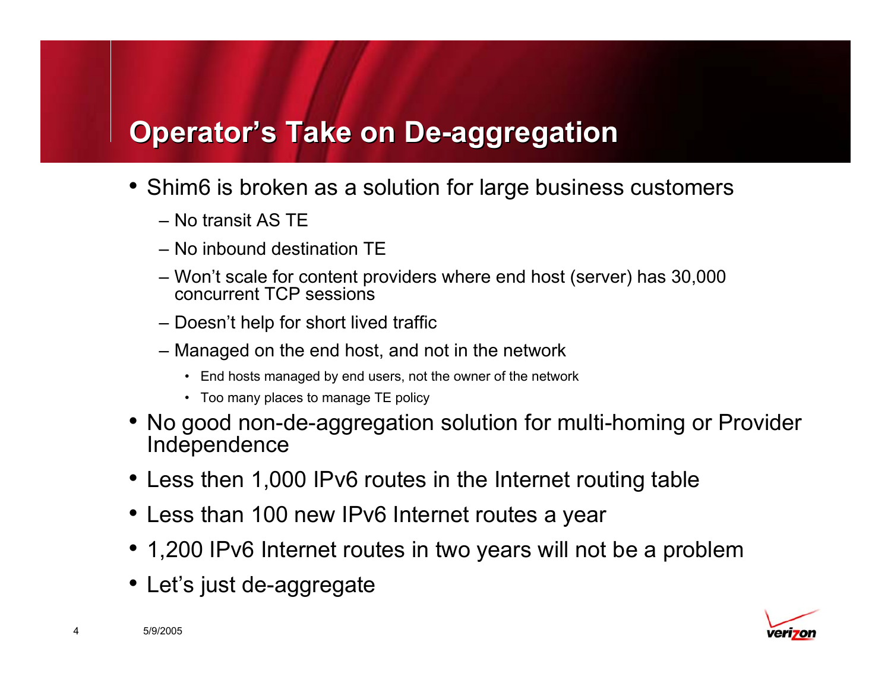# **Operator's Take on De-aggregation Operator's Take on De-aggregation**

- Shim6 is broken as a solution for large business customers
	- No transit AS TE
	- No inbound destination TE
	- Won't scale for content providers where end host (server) has 30,000 concurrent TCP sessions
	- Doesn't help for short lived traffic
	- Managed on the end host, and not in the network
		- End hosts managed by end users, not the owner of the network
		- Too many places to manage TE policy
- No good non-de-aggregation solution for multi-homing or Provider Independence
- Less then 1,000 IPv6 routes in the Internet routing table
- Less than 100 new IPv6 Internet routes a year
- 1,200 IPv6 Internet routes in two years will not be a problem
- Let's just de-aggregate



4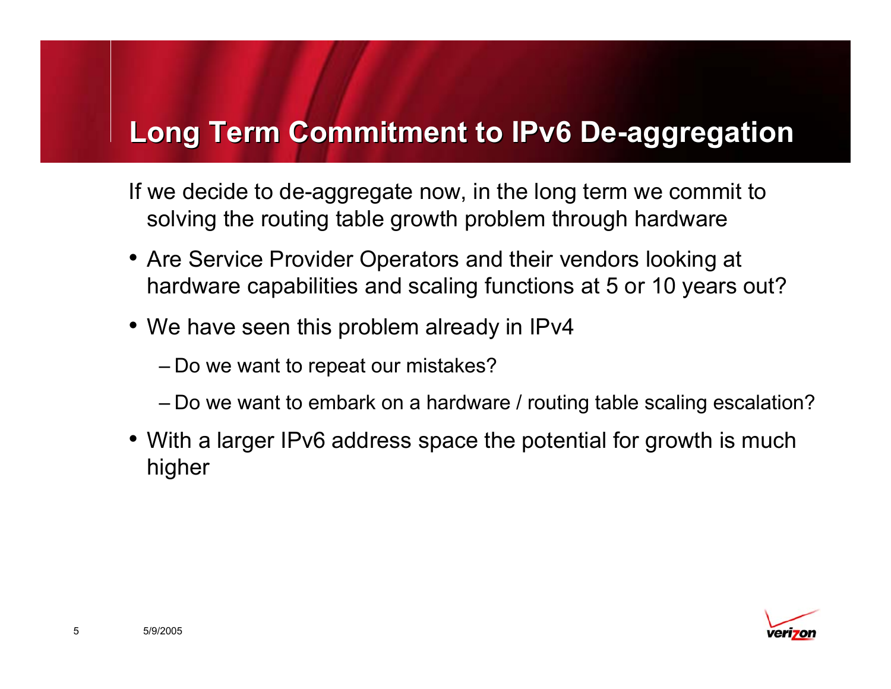#### **Long Term Commitment to IPv6 De-aggregation Long Term Commitment to IPv6 De-aggregation**

If we decide to de-aggregate now, in the long term we commit to solving the routing table growth problem through hardware

- Are Service Provider Operators and their vendors looking at hardware capabilities and scaling functions at 5 or 10 years out?
- We have seen this problem already in IPv4
	- Do we want to repeat our mistakes?
	- Do we want to embark on a hardware / routing table scaling escalation?
- With a larger IPv6 address space the potential for growth is much higher

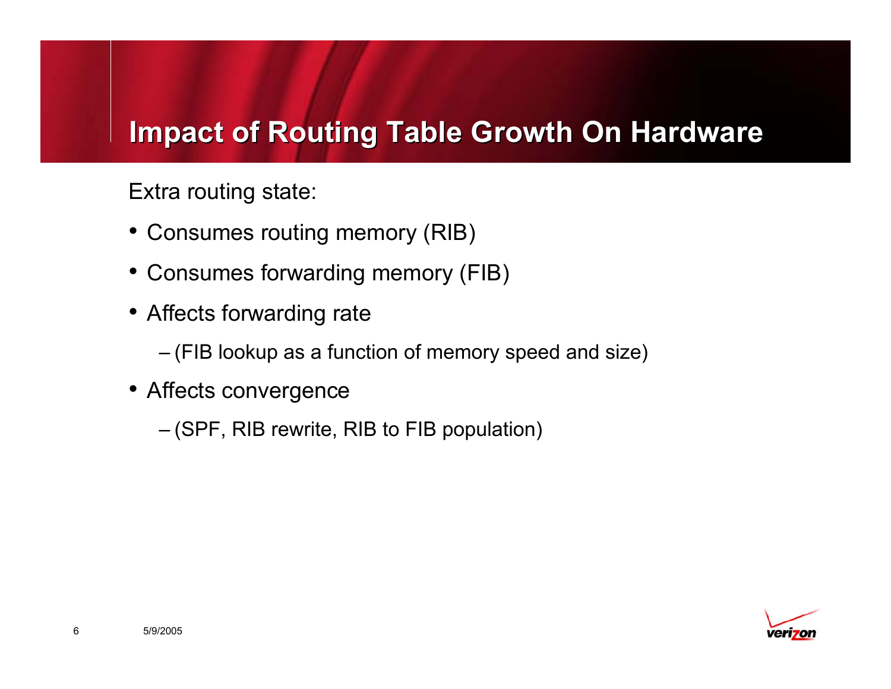# **Impact of Routing Table Growth On Hardware Impact of Routing Table Growth On Hardware**

Extra routing state:

- Consumes routing memory (RIB)
- Consumes forwarding memory (FIB)
- Affects forwarding rate
	- (FIB lookup as a function of memory speed and size)
- Affects convergence
	- (SPF, RIB rewrite, RIB to FIB population)

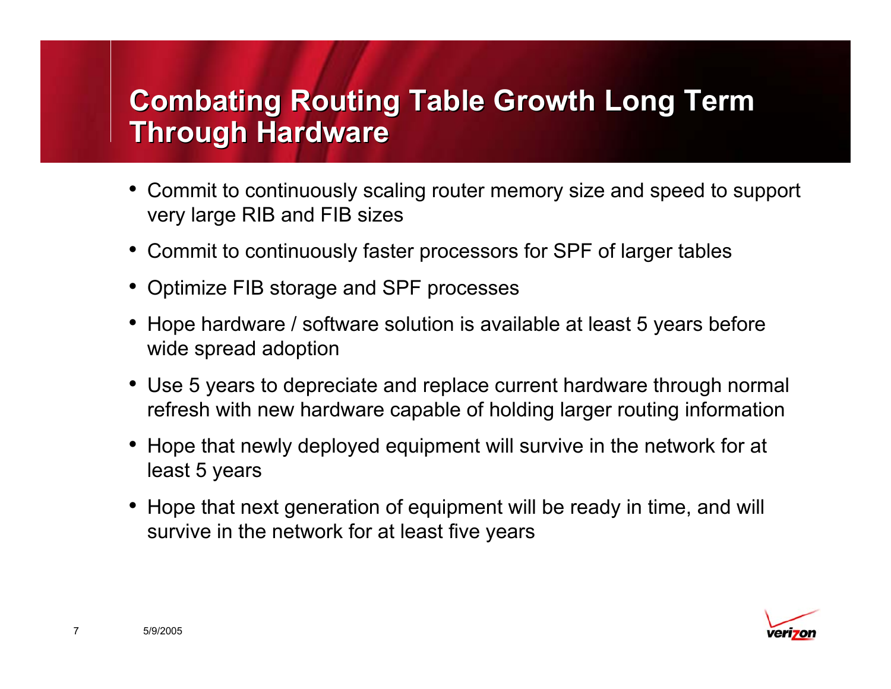# **Combating Routing Table Growth Long Term Combating Routing Table Growth Long Term Through Hardware Through Hardware**

- Commit to continuously scaling router memory size and speed to support very large RIB and FIB sizes
- Commit to continuously faster processors for SPF of larger tables
- •Optimize FIB storage and SPF processes
- Hope hardware / software solution is available at least 5 years before wide spread adoption
- Use 5 years to depreciate and replace current hardware through normal refresh with new hardware capable of holding larger routing information
- Hope that newly deployed equipment will survive in the network for at least 5 years
- Hope that next generation of equipment will be ready in time, and will survive in the network for at least five years

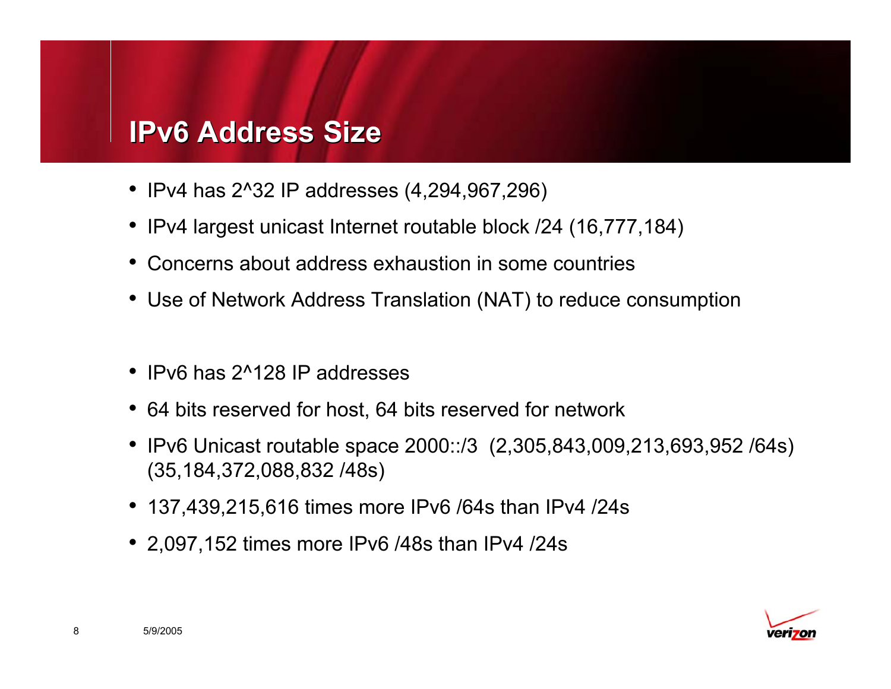#### **IPv6 Address Size IPv6 Address Size**

- IPv4 has 2^32 IP addresses (4,294,967,296)
- IPv4 largest unicast Internet routable block /24 (16,777,184)
- Concerns about address exhaustion in some countries
- Use of Network Address Translation (NAT) to reduce consumption
- IPv6 has 2^128 IP addresses
- 64 bits reserved for host, 64 bits reserved for network
- IPv6 Unicast routable space 2000::/3 (2,305,843,009,213,693,952 /64s) (35,184,372,088,832 /48s)
- 137,439,215,616 times more IPv6 /64s than IPv4 /24s
- 2,097,152 times more IPv6 /48s than IPv4 /24s

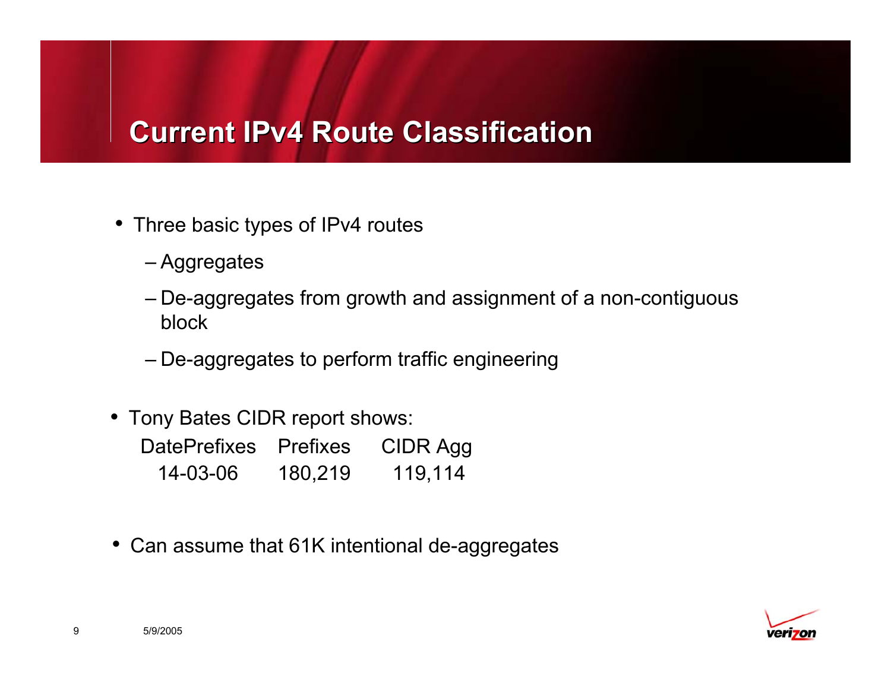#### **Current IPv4 Route Classification**

- Three basic types of IPv4 routes
	- Aggregates
	- De-aggregates from growth and assignment of a non-contiguous block
	- De-aggregates to perform traffic engineering
- Tony Bates CIDR report shows:

| DatePrefixes | <b>Prefixes</b> | CIDR Agg |
|--------------|-----------------|----------|
| 14-03-06     | 180,219         | 119,114  |

• Can assume that 61K intentional de-aggregates

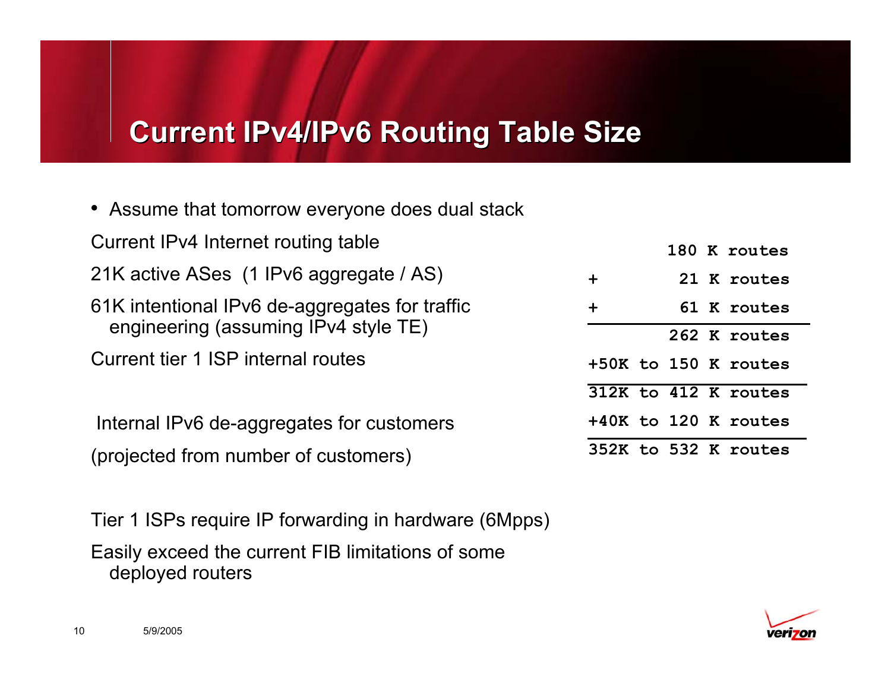#### **Current IPv4/IPv6 Routing Table Size Current IPv4/IPv6 Routing Table Size**

- Assume that tomorrow everyone does dual stack
- Current IPv4 Internet routing table
- 21K active ASes (1 IPv6 aggregate / AS)
- 61K intentional IPv6 de-aggregates for traffic engineering (assuming IPv4 style TE)
- Current tier 1 ISP internal routes

Internal IPv6 de-aggregates for customers (projected from number of customers)

Tier 1 ISPs require IP forwarding in hardware (6Mpps) Easily exceed the current FIB limitations of some deployed routers

|        |  | 180 K routes         |
|--------|--|----------------------|
| +      |  | 21 K routes          |
| $\div$ |  | 61 K routes          |
|        |  | 262 K routes         |
|        |  | +50K to 150 K routes |
|        |  | 312K to 412 K routes |
|        |  | +40K to 120 K routes |
|        |  | 352K to 532 K routes |

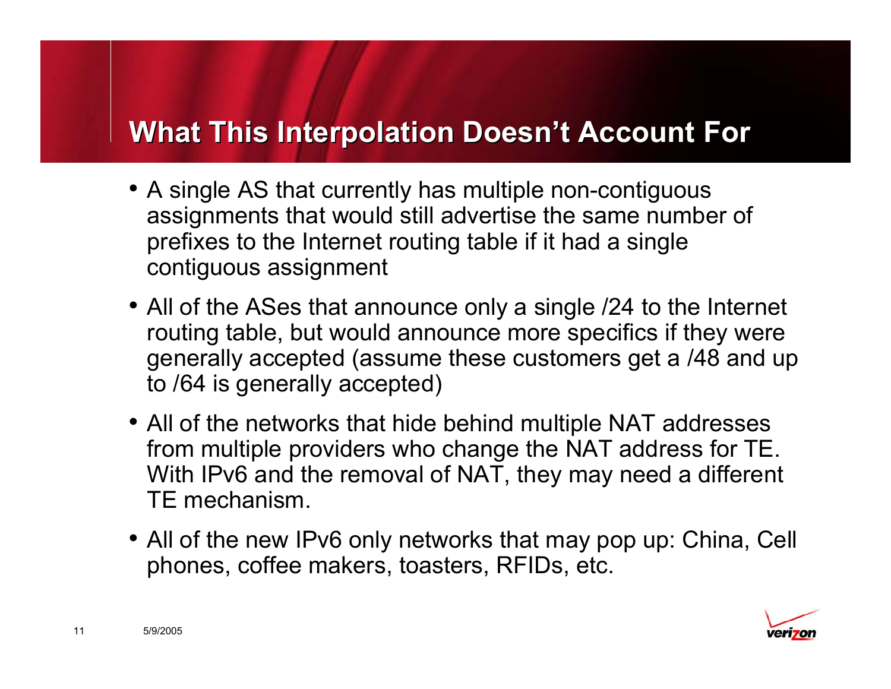#### **What This Interpolation Doesn't Account For What This Interpolation Doesn't Account For**

- A single AS that currently has multiple non-contiguous assignments that would still advertise the same number of prefixes to the Internet routing table if it had a single contiguous assignment
- All of the ASes that announce only a single /24 to the Internet routing table, but would announce more specifics if they were generally accepted (assume these customers get a /48 and up to /64 is generally accepted)
- All of the networks that hide behind multiple NAT addresses from multiple providers who change the NAT address for TE. With IPv6 and the removal of NAT, they may need a different TE mechanism.
- All of the new IPv6 only networks that may pop up: China, Cell phones, coffee makers, toasters, RFIDs, etc.

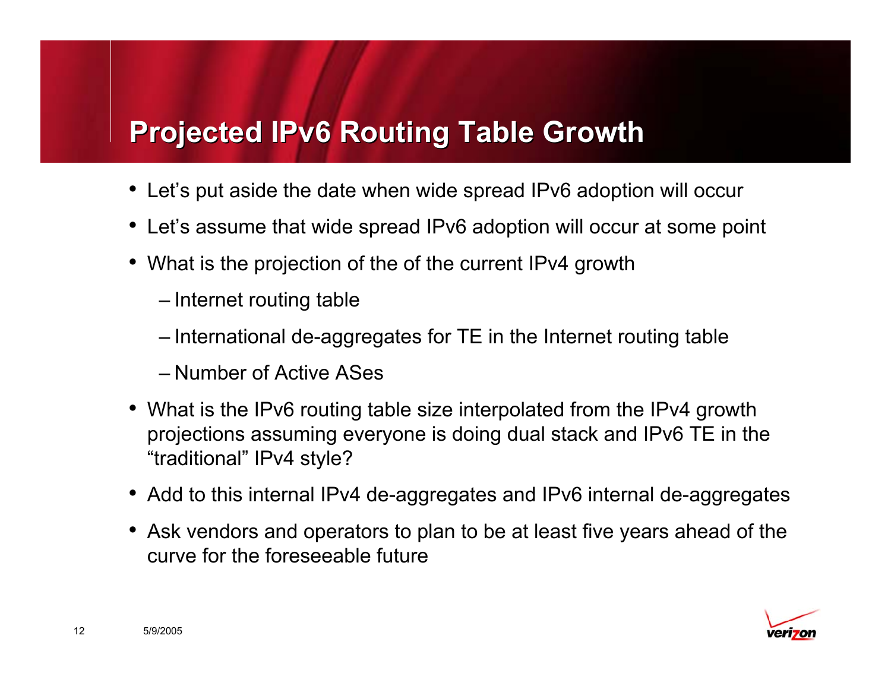# **Projected IPv6 Routing Table Growth**

- •Let's put aside the date when wide spread IPv6 adoption will occur
- Let's assume that wide spread IPv6 adoption will occur at some point
- What is the projection of the of the current IPv4 growth
	- Internet routing table
	- International de-aggregates for TE in the Internet routing table
	- Number of Active ASes
- What is the IPv6 routing table size interpolated from the IPv4 growth projections assuming everyone is doing dual stack and IPv6 TE in the "traditional" IPv4 style?
- Add to this internal IPv4 de-aggregates and IPv6 internal de-aggregates
- Ask vendors and operators to plan to be at least five years ahead of the curve for the foreseeable future

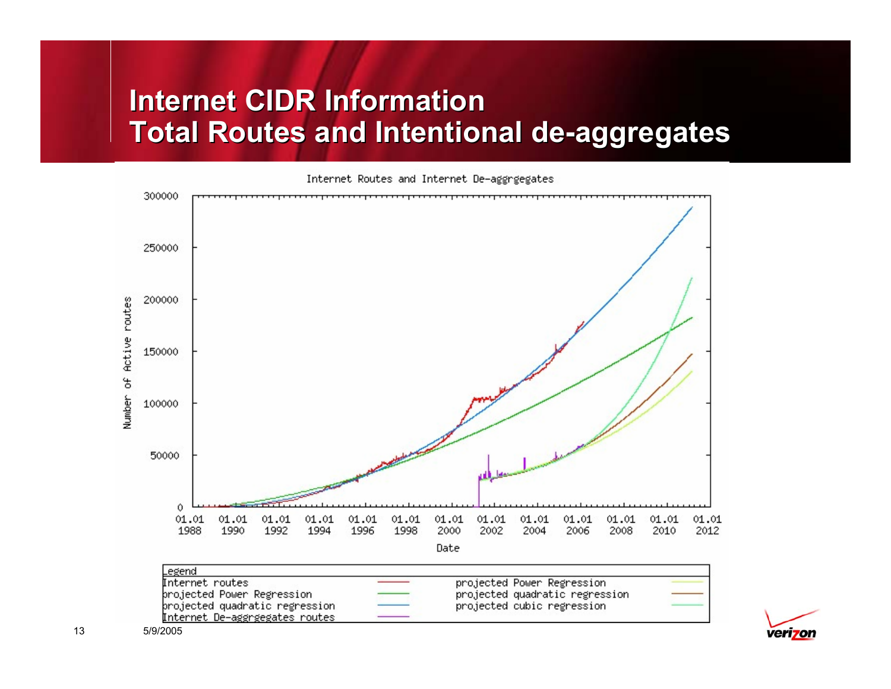# **Internet CIDR Information Total Routes and Intentional de-aggregates Total Routes and Intentional de-aggregates**

Internet Routes and Internet De-aggrgegates



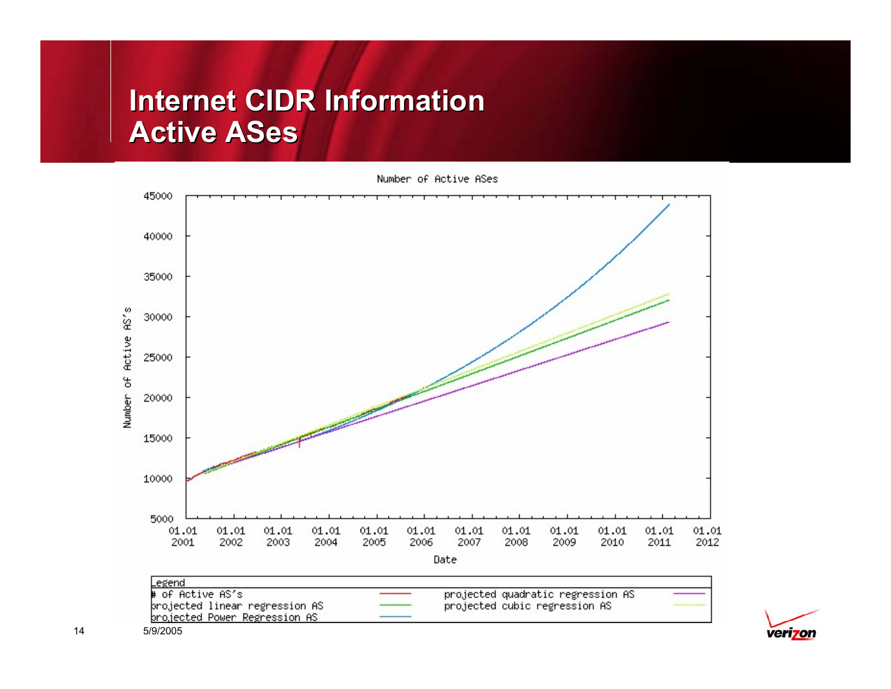# **Internet CIDR Information Active ASes**



Number of Active ASes



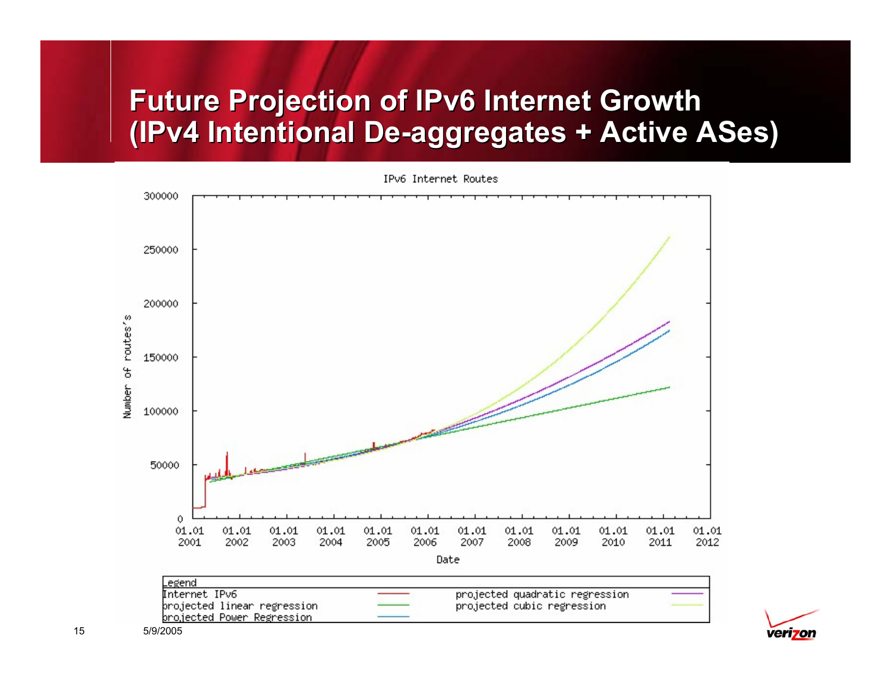# **Future Projection of IPv6 Internet Growth Future Projection of IPv6 Internet Growth (IPv4 Intentional De-aggregates + Active ASes) (IPv4 Intentional De-aggregates + Active ASes)**

IPv6 Internet Routes



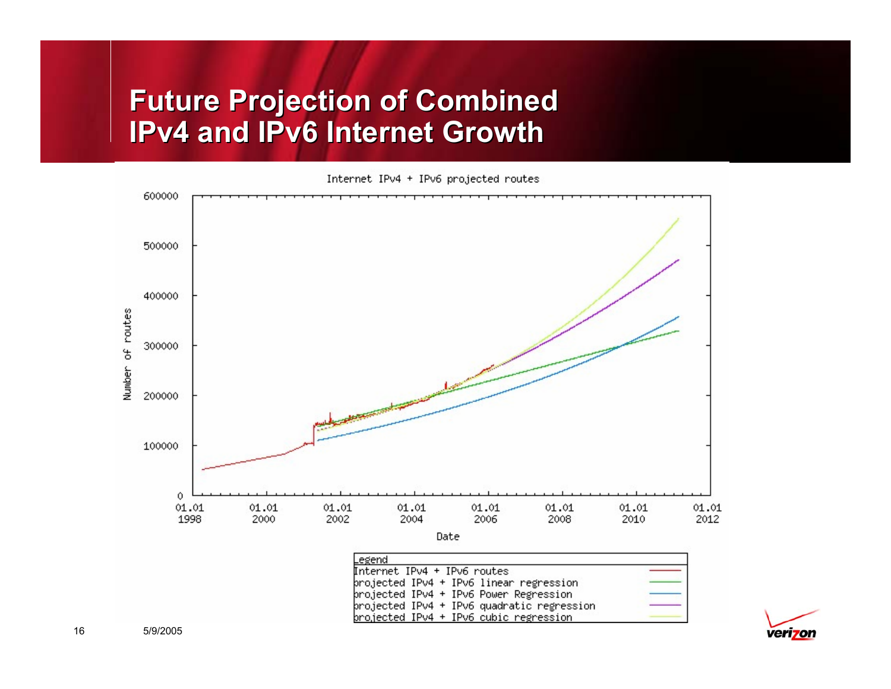#### **Future Projection of Combined Future Projection of Combined IPv4 and IPv6 Internet GrowthIPv4 and IPv6 Internet Growth**

Internet IPv4 + IPv6 projected routes



brojected IPv4 + IPv6 Power Regression projected IPv4 + IPv6 quadratic regression projected IPv4 + IPv6 cubic regression

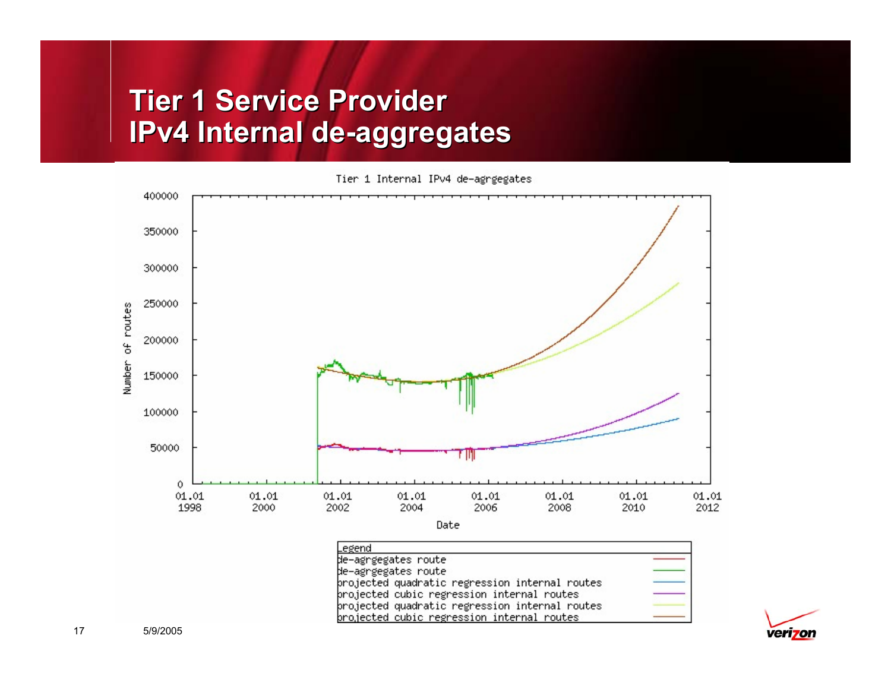# **Tier 1 Service Provider Tier 1 Service Provider IPv4 Internal de-aggregates IPv4 Internal de-aggregates**





Date

| Legend                                         |  |
|------------------------------------------------|--|
| de–agrgegates route                            |  |
| de-agrgegates route                            |  |
| projected quadratic regression internal routes |  |
| projected cubic regression internal routes     |  |
| projected quadratic regression internal routes |  |
| projected cubic regression internal routes     |  |

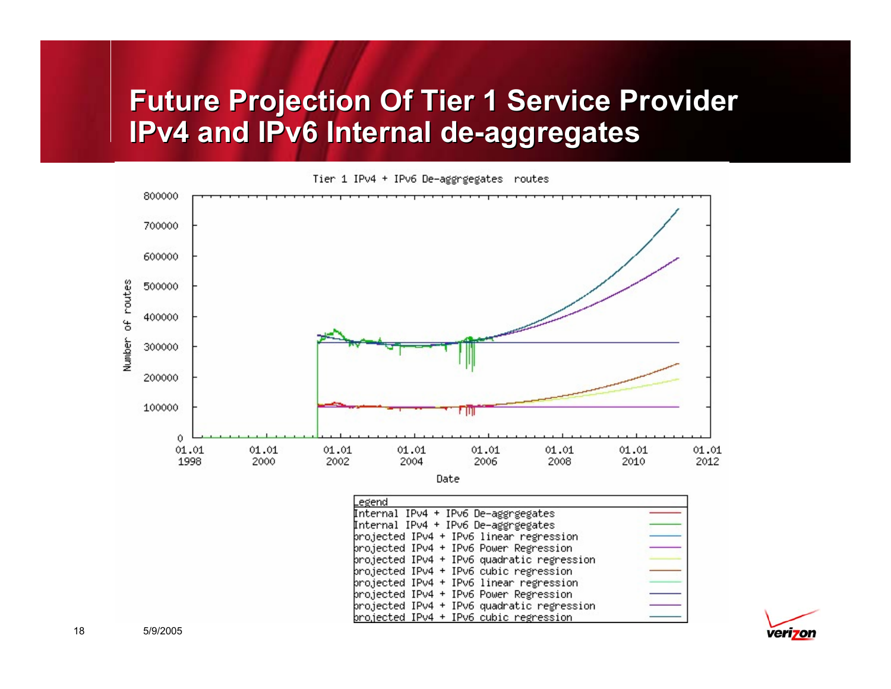# **Future Projection Of Tier 1 Service Provider Future Projection Of Tier 1 Service Provider IPv4 and IPv6 Internal de-aggregates IPv4 and IPv6 Internal de-aggregates**

Tier 1 IPv4 + IPv6 De-aggrgegates routes



brojected IPv4 + IPv6 cubic regression

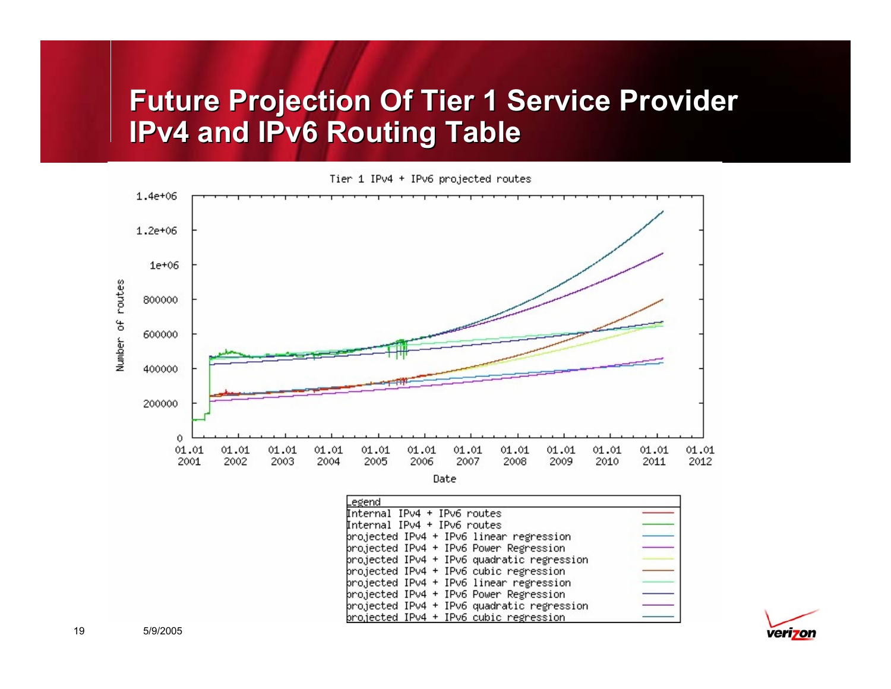# **Future Projection Of Tier 1 Service Provider Future Projection Of Tier 1 Service Provider IPv4 and IPv6 Routing Table IPv4 and IPv6 Routing Table**





Date

| Legend                                     |  |
|--------------------------------------------|--|
| Internal IPv4 + IPv6 routes                |  |
| Internal IPv4 + IPv6 routes                |  |
| brojected IPv4 + IPv6 linear regression    |  |
| projected IPv4 + IPv6 Power Regression     |  |
| projected IPv4 + IPv6 quadratic regression |  |
| brojected IPv4 + IPv6 cubic regression     |  |
| projected IPv4 + IPv6 linear regression    |  |
| brojected IPv4 + IPv6 Power Regression     |  |
| projected IPv4 + IPv6 quadratic regression |  |
| brojected IPv4 + IPv6 cubic regression.    |  |

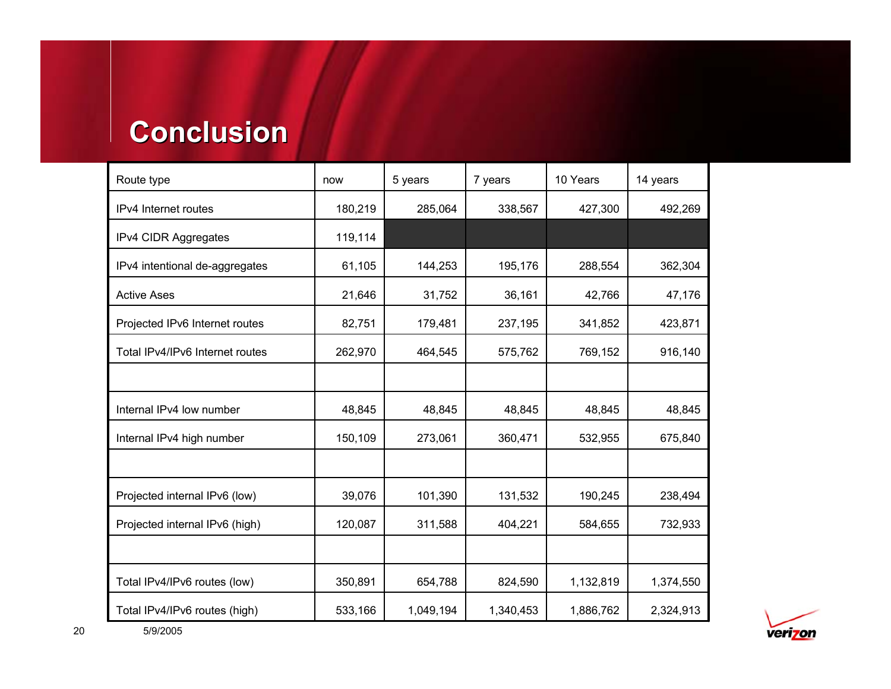#### **Conclusion Conclusion**

| Route type                      | now     | 5 years   | 7 years   | 10 Years  | 14 years  |
|---------------------------------|---------|-----------|-----------|-----------|-----------|
| IPv4 Internet routes            | 180,219 | 285,064   | 338,567   | 427,300   | 492,269   |
| IPv4 CIDR Aggregates            | 119,114 |           |           |           |           |
| IPv4 intentional de-aggregates  | 61,105  | 144,253   | 195,176   | 288,554   | 362,304   |
| <b>Active Ases</b>              | 21,646  | 31,752    | 36,161    | 42,766    | 47,176    |
| Projected IPv6 Internet routes  | 82,751  | 179,481   | 237,195   | 341,852   | 423,871   |
| Total IPv4/IPv6 Internet routes | 262,970 | 464,545   | 575,762   | 769,152   | 916,140   |
|                                 |         |           |           |           |           |
| Internal IPv4 low number        | 48,845  | 48,845    | 48,845    | 48,845    | 48,845    |
| Internal IPv4 high number       | 150,109 | 273,061   | 360,471   | 532,955   | 675,840   |
|                                 |         |           |           |           |           |
| Projected internal IPv6 (low)   | 39,076  | 101,390   | 131,532   | 190,245   | 238,494   |
| Projected internal IPv6 (high)  | 120,087 | 311,588   | 404,221   | 584,655   | 732,933   |
|                                 |         |           |           |           |           |
| Total IPv4/IPv6 routes (low)    | 350,891 | 654,788   | 824,590   | 1,132,819 | 1,374,550 |
| Total IPv4/IPv6 routes (high)   | 533,166 | 1,049,194 | 1,340,453 | 1,886,762 | 2,324,913 |

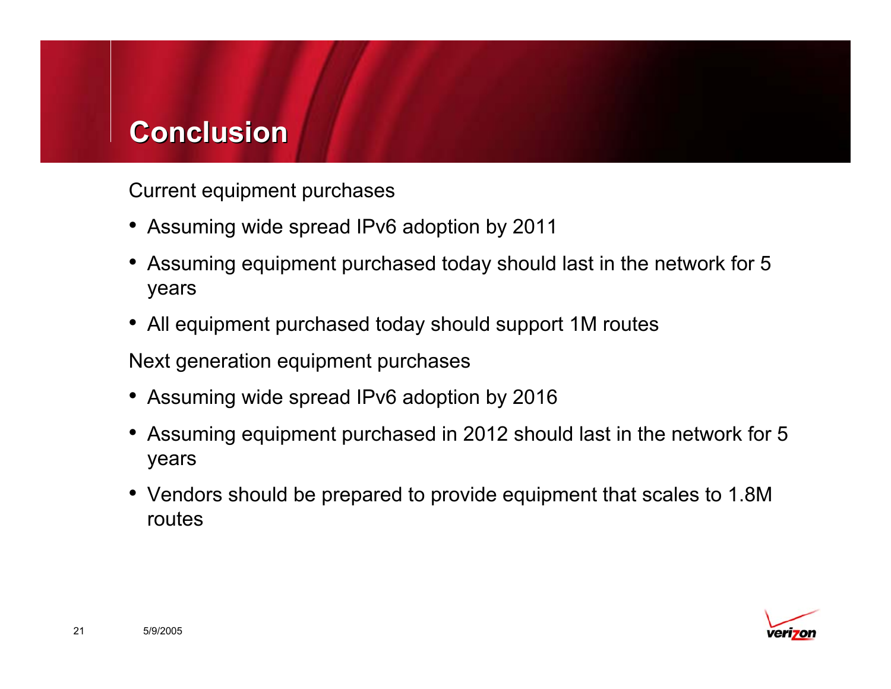# **Conclusion Conclusion**

Current equipment purchases

- Assuming wide spread IPv6 adoption by 2011
- Assuming equipment purchased today should last in the network for 5 years
- All equipment purchased today should support 1M routes

Next generation equipment purchases

- Assuming wide spread IPv6 adoption by 2016
- Assuming equipment purchased in 2012 should last in the network for 5 years
- Vendors should be prepared to provide equipment that scales to 1.8M routes